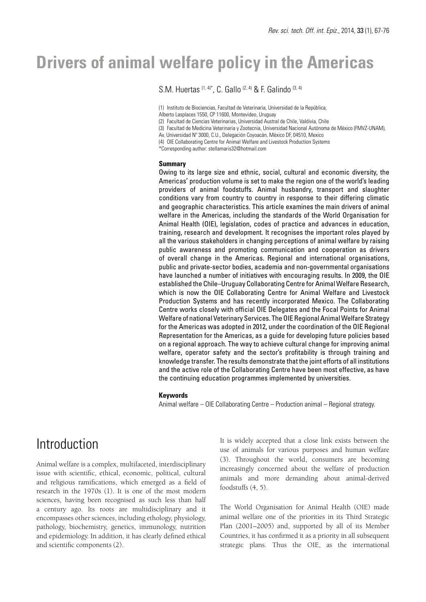# **Drivers of animal welfare policy in the Americas**

S.M. Huertas (1, 4)\*, C. Gallo (2, 4) & F. Galindo (3, 4)

(1) Instituto de Biociencias, Facultad de Veterinaria, Universidad de la República,

Alberto Lasplaces 1550, CP 11600, Montevideo, Uruguay

(2) Facultad de Ciencias Veterinarias, Universidad Austral de Chile, Valdivia, Chile

(3) Facultad de Medicina Veterinaria y Zootecnia, Universidad Nacional Autónoma de México (FMVZ-UNAM),

Av. Universidad Nº 3000, C.U., Delegación Coyoacán, México DF, 04510, Mexico

(4) OIE Collaborating Centre for Animal Welfare and Livestock Production Systems

\*Corresponding author: stellamaris32@hotmail.com

#### **Summary**

Owing to its large size and ethnic, social, cultural and economic diversity, the Americas' production volume is set to make the region one of the world's leading providers of animal foodstuffs. Animal husbandry, transport and slaughter conditions vary from country to country in response to their differing climatic and geographic characteristics. This article examines the main drivers of animal welfare in the Americas, including the standards of the World Organisation for Animal Health (OIE), legislation, codes of practice and advances in education, training, research and development. It recognises the important roles played by all the various stakeholders in changing perceptions of animal welfare by raising public awareness and promoting communication and cooperation as drivers of overall change in the Americas. Regional and international organisations, public and private-sector bodies, academia and non-governmental organisations have launched a number of initiatives with encouraging results. In 2009, the OIE established the Chile–Uruguay Collaborating Centre for Animal Welfare Research, which is now the OIE Collaborating Centre for Animal Welfare and Livestock Production Systems and has recently incorporated Mexico. The Collaborating Centre works closely with official OIE Delegates and the Focal Points for Animal Welfare of national Veterinary Services. The OIE Regional Animal Welfare Strategy for the Americas was adopted in 2012, under the coordination of the OIE Regional Representation for the Americas, as a guide for developing future policies based on a regional approach. The way to achieve cultural change for improving animal welfare, operator safety and the sector's profitability is through training and knowledge transfer. The results demonstrate that the joint efforts of all institutions and the active role of the Collaborating Centre have been most effective, as have the continuing education programmes implemented by universities.

#### **Keywords**

Animal welfare – OIE Collaborating Centre – Production animal – Regional strategy.

## Introduction

Animal welfare is a complex, multifaceted, interdisciplinary issue with scientific, ethical, economic, political, cultural and religious ramifications, which emerged as a field of research in the 1970s (1). It is one of the most modern sciences, having been recognised as such less than half a century ago. Its roots are multidisciplinary and it encompasses other sciences, including ethology, physiology, pathology, biochemistry, genetics, immunology, nutrition and epidemiology. In addition, it has clearly defined ethical and scientific components (2).

It is widely accepted that a close link exists between the use of animals for various purposes and human welfare (3). Throughout the world, consumers are becoming increasingly concerned about the welfare of production animals and more demanding about animal-derived foodstuffs (4, 5).

The World Organisation for Animal Health (OIE) made animal welfare one of the priorities in its Third Strategic Plan (2001–2005) and, supported by all of its Member Countries, it has confirmed it as a priority in all subsequent strategic plans. Thus the OIE, as the international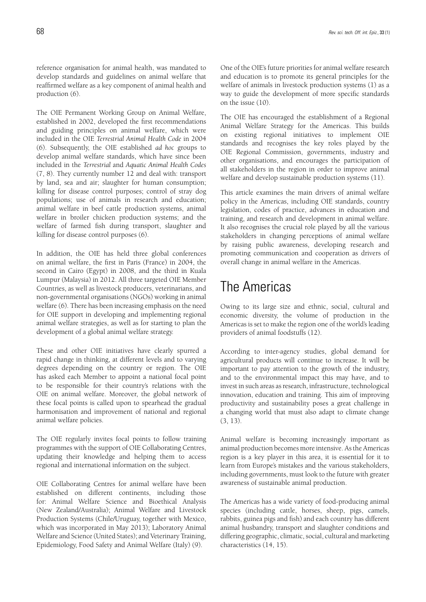reference organisation for animal health, was mandated to develop standards and guidelines on animal welfare that reaffirmed welfare as a key component of animal health and production (6).

The OIE Permanent Working Group on Animal Welfare, established in 2002, developed the first recommendations and guiding principles on animal welfare, which were included in the OIE *Terrestrial Animal Health Code* in 2004 (6). Subsequently, the OIE established *ad hoc* groups to develop animal welfare standards, which have since been included in the *Terrestrial* and *Aquatic Animal Health Codes*  (7, 8). They currently number 12 and deal with: transport by land, sea and air; slaughter for human consumption; killing for disease control purposes; control of stray dog populations; use of animals in research and education; animal welfare in beef cattle production systems, animal welfare in broiler chicken production systems; and the welfare of farmed fish during transport, slaughter and killing for disease control purposes (6).

In addition, the OIE has held three global conferences on animal welfare, the first in Paris (France) in 2004, the second in Cairo (Egypt) in 2008, and the third in Kuala Lumpur (Malaysia) in 2012. All three targeted OIE Member Countries, as well as livestock producers, veterinarians, and non-governmental organisations (NGOs) working in animal welfare (6). There has been increasing emphasis on the need for OIE support in developing and implementing regional animal welfare strategies, as well as for starting to plan the development of a global animal welfare strategy.

These and other OIE initiatives have clearly spurred a rapid change in thinking, at different levels and to varying degrees depending on the country or region. The OIE has asked each Member to appoint a national focal point to be responsible for their country's relations with the OIE on animal welfare. Moreover, the global network of these focal points is called upon to spearhead the gradual harmonisation and improvement of national and regional animal welfare policies.

The OIE regularly invites focal points to follow training programmes with the support of OIE Collaborating Centres, updating their knowledge and helping them to access regional and international information on the subject.

OIE Collaborating Centres for animal welfare have been established on different continents, including those for: Animal Welfare Science and Bioethical Analysis (New Zealand/Australia); Animal Welfare and Livestock Production Systems (Chile/Uruguay, together with Mexico, which was incorporated in May 2013); Laboratory Animal Welfare and Science (United States); and Veterinary Training, Epidemiology, Food Safety and Animal Welfare (Italy) (9).

One of the OIE's future priorities for animal welfare research and education is to promote its general principles for the welfare of animals in livestock production systems (1) as a way to guide the development of more specific standards on the issue (10).

The OIE has encouraged the establishment of a Regional Animal Welfare Strategy for the Americas. This builds on existing regional initiatives to implement OIE standards and recognises the key roles played by the OIE Regional Commission, governments, industry and other organisations, and encourages the participation of all stakeholders in the region in order to improve animal welfare and develop sustainable production systems (11).

This article examines the main drivers of animal welfare policy in the Americas, including OIE standards, country legislation, codes of practice, advances in education and training, and research and development in animal welfare. It also recognises the crucial role played by all the various stakeholders in changing perceptions of animal welfare by raising public awareness, developing research and promoting communication and cooperation as drivers of overall change in animal welfare in the Americas.

### The Americas

Owing to its large size and ethnic, social, cultural and economic diversity, the volume of production in the Americas is set to make the region one of the world's leading providers of animal foodstuffs (12).

According to inter-agency studies, global demand for agricultural products will continue to increase. It will be important to pay attention to the growth of the industry, and to the environmental impact this may have, and to invest in such areas as research, infrastructure, technological innovation, education and training. This aim of improving productivity and sustainability poses a great challenge in a changing world that must also adapt to climate change (3, 13).

Animal welfare is becoming increasingly important as animal production becomes more intensive. As the Americas region is a key player in this area, it is essential for it to learn from Europe's mistakes and the various stakeholders, including governments, must look to the future with greater awareness of sustainable animal production.

The Americas has a wide variety of food-producing animal species (including cattle, horses, sheep, pigs, camels, rabbits, guinea pigs and fish) and each country has different animal husbandry, transport and slaughter conditions and differing geographic, climatic, social, cultural and marketing characteristics (14, 15).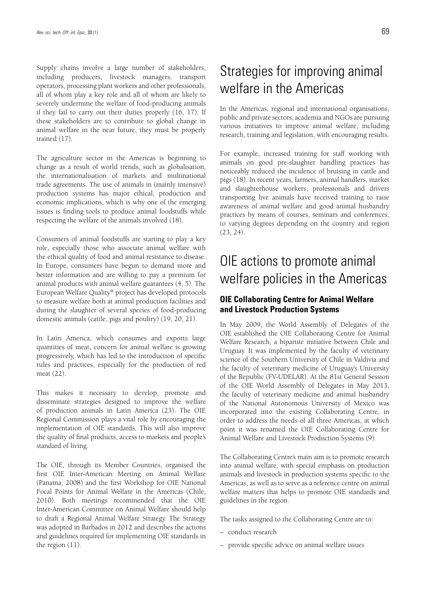Supply chains involve a large number of stakeholders, including producers, livestock managers, transport operators, processing plant workers and other professionals, all of whom play a key role and all of whom are likely to severely undermine the welfare of food-producing animals if they fail to carry out their duties properly (16, 17). If these stakeholders are to contribute to global change in animal welfare in the near future, they must be properly trained (17).

The agriculture sector in the Americas is beginning to change as a result of world trends, such as globalisation, the internationalisation of markets and multinational trade agreements. The use of animals in (mainly intensive) production systems has major ethical, production and economic implications, which is why one of the emerging issues is finding tools to produce animal foodstuffs while respecting the welfare of the animals involved (18).

Consumers of animal foodstuffs are starting to play a key role, especially those who associate animal welfare with the ethical quality of food and animal resistance to disease. In Europe, consumers have begun to demand more and better information and are willing to pay a premium for animal products with animal welfare guarantees (4, 5). The European Welfare Quality® project has developed protocols to measure welfare both at animal production facilities and during the slaughter of several species of food-producing domestic animals (cattle, pigs and poultry) (19, 20, 21).

In Latin America, which consumes and exports large quantities of meat, concern for animal welfare is growing progressively, which has led to the introduction of specific rules and practices, especially for the production of red meat (22).

This makes it necessary to develop, promote and disseminate strategies designed to improve the welfare of production animals in Latin America (23). The OIE Regional Commission plays a vital role by encouraging the implementation of OIE standards. This will also improve the quality of final products, access to markets and people's standard of living.

The OIE, through its Member Countries, organised the first OIE Inter-American Meeting on Animal Welfare (Panama, 2008) and the first Workshop for OIE National Focal Points for Animal Welfare in the Americas (Chile, 2010). Both meetings recommended that the OIE Inter-American Committee on Animal Welfare should help to draft a Regional Animal Welfare Strategy. The Strategy was adopted in Barbados in 2012 and describes the actions and guidelines required for implementing OIE standards in the region (11).

# Strategies for improving animal welfare in the Americas

In the Americas, regional and international organisations, public and private sectors, academia and NGOs are pursuing various initiatives to improve animal welfare, including research, training and legislation, with encouraging results.

For example, increased training for staff working with animals on good pre-slaughter handling practices has noticeably reduced the incidence of bruising in cattle and pigs (18). In recent years, farmers, animal handlers, market and slaughterhouse workers, professionals and drivers transporting live animals have received training to raise awareness of animal welfare and good animal husbandry practices by means of courses, seminars and conferences, to varying degrees depending on the country and region (23, 24).

# OIE actions to promote animal welfare policies in the Americas

### **OIE Collaborating Centre for Animal Welfare and Livestock Production Systems**

In May 2009, the World Assembly of Delegates of the OIE established the OIE Collaborating Centre for Animal Welfare Research, a bipartite initiative between Chile and Uruguay. It was implemented by the faculty of veterinary science of the Southern University of Chile in Valdivia and the faculty of veterinary medicine of Uruguay's University of the Republic (FV-UDELAR). At the 81st General Session of the OIE World Assembly of Delegates in May 2013, the faculty of veterinary medicine and animal husbandry of the National Autonomous University of Mexico was incorporated into the existing Collaborating Centre, in order to address the needs of all three Americas, at which point it was renamed the OIE Collaborating Centre for Animal Welfare and Livestock Production Systems (9).

The Collaborating Centre's main aim is to promote research into animal welfare, with special emphasis on production animals and livestock in production systems specific to the Americas, as well as to serve as a reference centre on animal welfare matters that helps to promote OIE standards and guidelines in the region.

The tasks assigned to the Collaborating Centre are to:

- conduct research
- provide specific advice on animal welfare issues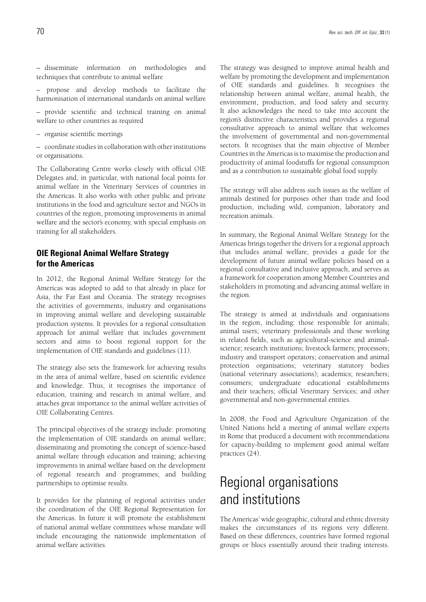– disseminate information on methodologies and techniques that contribute to animal welfare

– propose and develop methods to facilitate the harmonisation of international standards on animal welfare

– provide scientific and technical training on animal welfare to other countries as required

– organise scientific meetings

– coordinate studies in collaboration with other institutions or organisations.

The Collaborating Centre works closely with official OIE Delegates and, in particular, with national focal points for animal welfare in the Veterinary Services of countries in the Americas. It also works with other public and private institutions in the food and agriculture sector and NGOs in countries of the region, promoting improvements in animal welfare and the sector's economy, with special emphasis on training for all stakeholders.

### **OIE Regional Animal Welfare Strategy for the Americas**

In 2012, the Regional Animal Welfare Strategy for the Americas was adopted to add to that already in place for Asia, the Far East and Oceania. The strategy recognises the activities of governments, industry and organisations in improving animal welfare and developing sustainable production systems. It provides for a regional consultation approach for animal welfare that includes government sectors and aims to boost regional support for the implementation of OIE standards and guidelines (11).

The strategy also sets the framework for achieving results in the area of animal welfare, based on scientific evidence and knowledge. Thus, it recognises the importance of education, training and research in animal welfare, and attaches great importance to the animal welfare activities of OIE Collaborating Centres.

The principal objectives of the strategy include: promoting the implementation of OIE standards on animal welfare; disseminating and promoting the concept of science-based animal welfare through education and training; achieving improvements in animal welfare based on the development of regional research and programmes; and building partnerships to optimise results.

It provides for the planning of regional activities under the coordination of the OIE Regional Representation for the Americas. In future it will promote the establishment of national animal welfare committees whose mandate will include encouraging the nationwide implementation of animal welfare activities.

The strategy was designed to improve animal health and welfare by promoting the development and implementation of OIE standards and guidelines. It recognises the relationship between animal welfare, animal health, the environment, production, and food safety and security. It also acknowledges the need to take into account the region's distinctive characteristics and provides a regional consultative approach to animal welfare that welcomes the involvement of governmental and non-governmental sectors. It recognises that the main objective of Member Countries in the Americas is to maximise the production and productivity of animal foodstuffs for regional consumption and as a contribution to sustainable global food supply.

The strategy will also address such issues as the welfare of animals destined for purposes other than trade and food production, including wild, companion, laboratory and recreation animals.

In summary, the Regional Animal Welfare Strategy for the Americas brings together the drivers for a regional approach that includes animal welfare, provides a guide for the development of future animal welfare policies based on a regional consultative and inclusive approach, and serves as a framework for cooperation among Member Countries and stakeholders in promoting and advancing animal welfare in the region.

The strategy is aimed at individuals and organisations in the region, including: those responsible for animals; animal users; veterinary professionals and those working in related fields, such as agricultural-science and animalscience; research institutions; livestock farmers; processors; industry and transport operators; conservation and animal protection organisations; veterinary statutory bodies (national veterinary associations); academics; researchers; consumers; undergraduate educational establishments and their teachers; official Veterinary Services; and other governmental and non-governmental entities.

In 2008, the Food and Agriculture Organization of the United Nations held a meeting of animal welfare experts in Rome that produced a document with recommendations for capacity-building to implement good animal welfare practices (24).

# Regional organisations and institutions

The Americas' wide geographic, cultural and ethnic diversity makes the circumstances of its regions very different. Based on these differences, countries have formed regional groups or blocs essentially around their trading interests.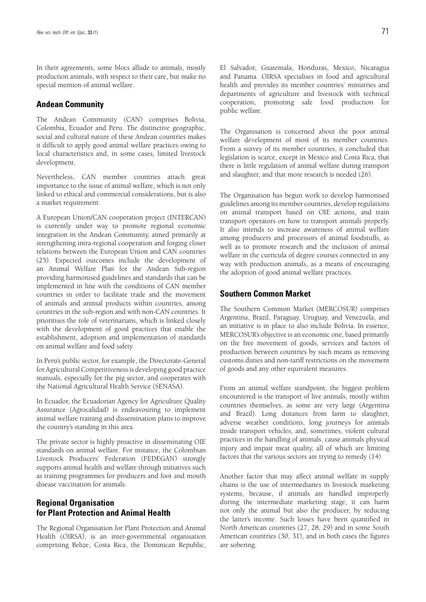In their agreements, some blocs allude to animals, mostly production animals, with respect to their care, but make no special mention of animal welfare.

#### **Andean Community**

The Andean Community (CAN) comprises Bolivia, Colombia, Ecuador and Peru. The distinctive geographic, social and cultural nature of these Andean countries makes it difficult to apply good animal welfare practices owing to local characteristics and, in some cases, limited livestock development.

Nevertheless, CAN member countries attach great importance to the issue of animal welfare, which is not only linked to ethical and commercial considerations, but is also a market requirement.

A European Union/CAN cooperation project (INTERCAN) is currently under way to promote regional economic integration in the Andean Community, aimed primarily at strengthening intra-regional cooperation and forging closer relations between the European Union and CAN countries (25). Expected outcomes include the development of an Animal Welfare Plan for the Andean Sub-region providing harmonised guidelines and standards that can be implemented in line with the conditions of CAN member countries in order to facilitate trade and the movement of animals and animal products within countries, among countries in the sub-region and with non-CAN countries. It prioritises the role of veterinarians, which is linked closely with the development of good practices that enable the establishment, adoption and implementation of standards on animal welfare and food safety.

In Peru's public sector, for example, the Directorate-General for Agricultural Competitiveness is developing good practice manuals, especially for the pig sector, and cooperates with the National Agricultural Health Service (SENASA).

In Ecuador, the Ecuadorian Agency for Agriculture Quality Assurance (Agrocalidad) is endeavouring to implement animal welfare training and dissemination plans to improve the country's standing in this area.

The private sector is highly proactive in disseminating OIE standards on animal welfare. For instance, the Colombian Livestock Producers' Federation (FEDEGAN) strongly supports animal health and welfare through initiatives such as training programmes for producers and foot and mouth disease vaccination for animals.

#### **Regional Organisation for Plant Protection and Animal Health**

The Regional Organisation for Plant Protection and Animal Health (OIRSA), is an inter-governmental organisation comprising Belize, Costa Rica, the Dominican Republic, El Salvador, Guatemala, Honduras, Mexico, Nicaragua and Panama. OIRSA specialises in food and agricultural health and provides its member countries' ministries and departments of agriculture and livestock with technical cooperation, promoting safe food production for public welfare.

The Organisation is concerned about the poor animal welfare development of most of its member countries. From a survey of its member countries, it concluded that legislation is scarce, except in Mexico and Costa Rica, that there is little regulation of animal welfare during transport and slaughter, and that more research is needed (26).

The Organisation has begun work to develop harmonised guidelines among its member countries, develop regulations on animal transport based on OIE actions, and train transport operators on how to transport animals properly. It also intends to increase awareness of animal welfare among producers and processors of animal foodstuffs, as well as to promote research and the inclusion of animal welfare in the curricula of degree courses connected in any way with production animals, as a means of encouraging the adoption of good animal welfare practices.

### **Southern Common Market**

The Southern Common Market (MERCOSUR) comprises Argentina, Brazil, Paraguay, Uruguay, and Venezuela, and an initiative is in place to also include Bolivia. In essence, MERCOSUR's objective is an economic one, based primarily on the free movement of goods, services and factors of production between countries by such means as removing customs duties and non-tariff restrictions on the movement of goods and any other equivalent measures.

From an animal welfare standpoint, the biggest problem encountered is the transport of live animals, mostly within countries themselves, as some are very large (Argentina and Brazil). Long distances from farm to slaughter, adverse weather conditions, long journeys for animals inside transport vehicles, and, sometimes, violent cultural practices in the handling of animals, cause animals physical injury and impair meat quality, all of which are limiting factors that the various sectors are trying to remedy (14).

Another factor that may affect animal welfare in supply chains is the use of intermediaries in livestock marketing systems, because, if animals are handled improperly during the intermediate marketing stage, it can harm not only the animal but also the producer, by reducing the latter's income. Such losses have been quantified in North American countries (27, 28, 29) and in some South American countries (30, 31), and in both cases the figures are sobering.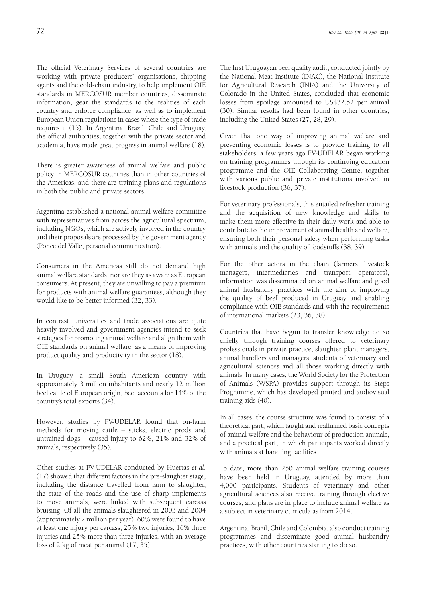The official Veterinary Services of several countries are working with private producers' organisations, shipping agents and the cold-chain industry, to help implement OIE standards in MERCOSUR member countries, disseminate information, gear the standards to the realities of each country and enforce compliance, as well as to implement European Union regulations in cases where the type of trade requires it (15). In Argentina, Brazil, Chile and Uruguay, the official authorities, together with the private sector and academia, have made great progress in animal welfare (18).

There is greater awareness of animal welfare and public policy in MERCOSUR countries than in other countries of the Americas, and there are training plans and regulations in both the public and private sectors.

Argentina established a national animal welfare committee with representatives from across the agricultural spectrum, including NGOs, which are actively involved in the country and their proposals are processed by the government agency (Ponce del Valle, personal communication).

Consumers in the Americas still do not demand high animal welfare standards, nor are they as aware as European consumers. At present, they are unwilling to pay a premium for products with animal welfare guarantees, although they would like to be better informed (32, 33).

In contrast, universities and trade associations are quite heavily involved and government agencies intend to seek strategies for promoting animal welfare and align them with OIE standards on animal welfare, as a means of improving product quality and productivity in the sector (18).

In Uruguay, a small South American country with approximately 3 million inhabitants and nearly 12 million beef cattle of European origin, beef accounts for 14% of the country's total exports (34).

However, studies by FV-UDELAR found that on-farm methods for moving cattle – sticks, electric prods and untrained dogs – caused injury to 62%, 21% and 32% of animals, respectively (35).

Other studies at FV-UDELAR conducted by Huertas *et al*. (17) showed that different factors in the pre-slaughter stage, including the distance travelled from farm to slaughter, the state of the roads and the use of sharp implements to move animals, were linked with subsequent carcass bruising. Of all the animals slaughtered in 2003 and 2004 (approximately 2 million per year), 60% were found to have at least one injury per carcass, 25% two injuries, 16% three injuries and 25% more than three injuries, with an average loss of 2 kg of meat per animal (17, 35).

The first Uruguayan beef quality audit, conducted jointly by the National Meat Institute (INAC), the National Institute for Agricultural Research (INIA) and the University of Colorado in the United States, concluded that economic losses from spoilage amounted to US\$32.52 per animal (30). Similar results had been found in other countries, including the United States (27, 28, 29).

Given that one way of improving animal welfare and preventing economic losses is to provide training to all stakeholders, a few years ago FV-UDELAR began working on training programmes through its continuing education programme and the OIE Collaborating Centre, together with various public and private institutions involved in livestock production (36, 37).

For veterinary professionals, this entailed refresher training and the acquisition of new knowledge and skills to make them more effective in their daily work and able to contribute to the improvement of animal health and welfare, ensuring both their personal safety when performing tasks with animals and the quality of foodstuffs (38, 39).

For the other actors in the chain (farmers, livestock managers, intermediaries and transport operators), information was disseminated on animal welfare and good animal husbandry practices with the aim of improving the quality of beef produced in Uruguay and enabling compliance with OIE standards and with the requirements of international markets (23, 36, 38).

Countries that have begun to transfer knowledge do so chiefly through training courses offered to veterinary professionals in private practice, slaughter plant managers, animal handlers and managers, students of veterinary and agricultural sciences and all those working directly with animals. In many cases, the World Society for the Protection of Animals (WSPA) provides support through its Steps Programme, which has developed printed and audiovisual training aids (40).

In all cases, the course structure was found to consist of a theoretical part, which taught and reaffirmed basic concepts of animal welfare and the behaviour of production animals, and a practical part, in which participants worked directly with animals at handling facilities.

To date, more than 250 animal welfare training courses have been held in Uruguay, attended by more than 4,000 participants. Students of veterinary and other agricultural sciences also receive training through elective courses, and plans are in place to include animal welfare as a subject in veterinary curricula as from 2014.

Argentina, Brazil, Chile and Colombia, also conduct training programmes and disseminate good animal husbandry practices, with other countries starting to do so.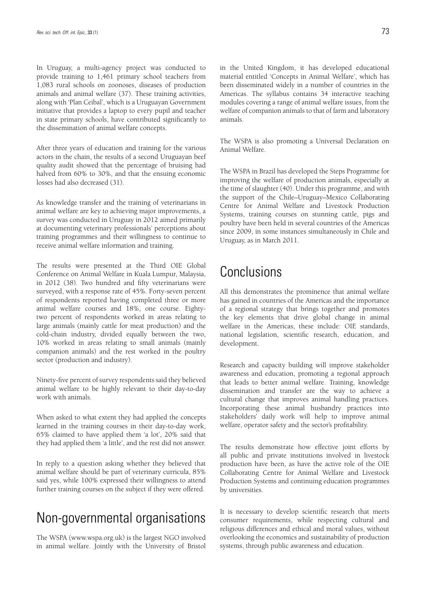In Uruguay, a multi-agency project was conducted to provide training to 1,461 primary school teachers from 1,083 rural schools on zoonoses, diseases of production animals and animal welfare (37). These training activities, along with 'Plan Ceibal', which is a Uruguayan Government initiative that provides a laptop to every pupil and teacher in state primary schools, have contributed significantly to the dissemination of animal welfare concepts.

After three years of education and training for the various actors in the chain, the results of a second Uruguayan beef quality audit showed that the percentage of bruising had halved from 60% to 30%, and that the ensuing economic losses had also decreased (31).

As knowledge transfer and the training of veterinarians in animal welfare are key to achieving major improvements, a survey was conducted in Uruguay in 2012 aimed primarily at documenting veterinary professionals' perceptions about training programmes and their willingness to continue to receive animal welfare information and training.

The results were presented at the Third OIE Global Conference on Animal Welfare in Kuala Lumpur, Malaysia, in 2012 (38). Two hundred and fifty veterinarians were surveyed, with a response rate of 45%. Forty-seven percent of respondents reported having completed three or more animal welfare courses and 18%, one course. Eightytwo percent of respondents worked in areas relating to large animals (mainly cattle for meat production) and the cold-chain industry, divided equally between the two, 10% worked in areas relating to small animals (mainly companion animals) and the rest worked in the poultry sector (production and industry).

Ninety-five percent of survey respondents said they believed animal welfare to be highly relevant to their day-to-day work with animals.

When asked to what extent they had applied the concepts learned in the training courses in their day-to-day work, 65% claimed to have applied them 'a lot', 20% said that they had applied them 'a little', and the rest did not answer.

In reply to a question asking whether they believed that animal welfare should be part of veterinary curricula, 85% said yes, while 100% expressed their willingness to attend further training courses on the subject if they were offered.

## Non-governmental organisations

The WSPA (www.wspa.org.uk) is the largest NGO involved in animal welfare. Jointly with the University of Bristol in the United Kingdom, it has developed educational material entitled 'Concepts in Animal Welfare', which has been disseminated widely in a number of countries in the Americas. The syllabus contains 34 interactive teaching modules covering a range of animal welfare issues, from the welfare of companion animals to that of farm and laboratory animals.

The WSPA is also promoting a Universal Declaration on Animal Welfare.

The WSPA in Brazil has developed the Steps Programme for improving the welfare of production animals, especially at the time of slaughter (40). Under this programme, and with the support of the Chile–Uruguay–Mexico Collaborating Centre for Animal Welfare and Livestock Production Systems, training courses on stunning cattle, pigs and poultry have been held in several countries of the Americas since 2009, in some instances simultaneously in Chile and Uruguay, as in March 2011.

## Conclusions

All this demonstrates the prominence that animal welfare has gained in countries of the Americas and the importance of a regional strategy that brings together and promotes the key elements that drive global change in animal welfare in the Americas, these include: OIE standards, national legislation, scientific research, education, and development.

Research and capacity building will improve stakeholder awareness and education, promoting a regional approach that leads to better animal welfare. Training, knowledge dissemination and transfer are the way to achieve a cultural change that improves animal handling practices. Incorporating these animal husbandry practices into stakeholders' daily work will help to improve animal welfare, operator safety and the sector's profitability.

The results demonstrate how effective joint efforts by all public and private institutions involved in livestock production have been, as have the active role of the OIE Collaborating Centre for Animal Welfare and Livestock Production Systems and continuing education programmes by universities.

It is necessary to develop scientific research that meets consumer requirements, while respecting cultural and religious differences and ethical and moral values, without overlooking the economics and sustainability of production systems, through public awareness and education.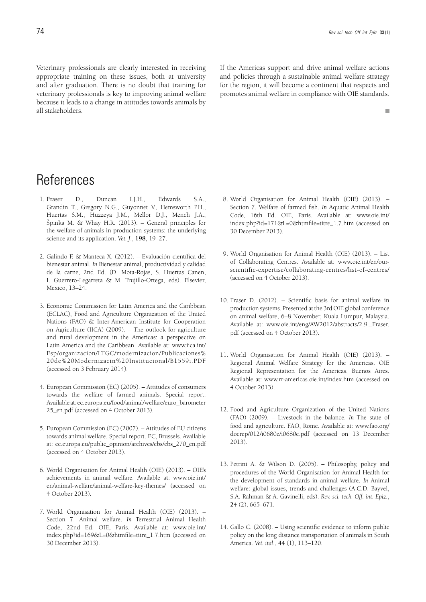$\overline{\phantom{a}}$ 

Veterinary professionals are clearly interested in receiving appropriate training on these issues, both at university and after graduation. There is no doubt that training for veterinary professionals is key to improving animal welfare because it leads to a change in attitudes towards animals by all stakeholders.

If the Americas support and drive animal welfare actions and policies through a sustainable animal welfare strategy for the region, it will become a continent that respects and promotes animal welfare in compliance with OIE standards.

# References

- 1. Fraser D., Duncan I.J.H., Edwards S.A., Grandin T., Gregory N.G., Guyonnet V., Hemsworth P.H., Huertas S.M., Huzzeya J.M., Mellor D.J., Mench J.A., Špinka M. & Whay H.R. (2013). – General principles for the welfare of animals in production systems: the underlying science and its application. *Vet. J*., **198**, 19–27.
- 2. Galindo F. & Manteca X. (2012). Evaluación científica del bienestar animal. *In* Bienestar animal, productividad y calidad de la carne, 2nd Ed. (D. Mota-Rojas, S. Huertas Canen, I. Guerrero-Legarreta & M. Trujillo-Ortega, eds). Elsevier, Mexico, 13–24.
- 3. Economic Commission for Latin America and the Caribbean (ECLAC), Food and Agriculture Organization of the United Nations (FAO) & Inter-American Institute for Cooperation on Agriculture (IICA) (2009). – The outlook for agriculture and rural development in the Americas: a perspective on Latin America and the Caribbean. Available at: www.iica.int/ Esp/organizacion/LTGC/modernizacion/Publicaciones% 20de%20Modernizacin%20Institucional/B1559i.PDF (accessed on 3 February 2014).
- 4. European Commission (EC) (2005). Attitudes of consumers towards the welfare of farmed animals. Special report. Available at: ec.europa.eu/food/animal/welfare/euro\_barometer 25\_en.pdf (accessed on 4 October 2013).
- 5. European Commission (EC) (2007). Attitudes of EU citizens towards animal welfare. Special report. EC, Brussels. Available at: ec.europa.eu/public\_opinion/archives/ebs/ebs\_270\_en.pdf (accessed on 4 October 2013).
- 6. World Organisation for Animal Health (OIE) (2013). OIE's achievements in animal welfare. Available at: www.oie.int/ en/animal-welfare/animal-welfare-key-themes/ (accessed on 4 October 2013).
- 7. World Organisation for Animal Health (OIE) (2013). Section 7. Animal welfare. *In* Terrestrial Animal Health Code, 22nd Ed. OIE, Paris. Available at: www.oie.int/ index.php?id=169&L=0&htmfile=titre\_1.7.htm (accessed on 30 December 2013).
- 8. World Organisation for Animal Health (OIE) (2013). Section 7. Welfare of farmed fish. *In* Aquatic Animal Health Code, 16th Ed. OIE, Paris. Available at: www.oie.int/ index.php?id=171&L=0&htmfile=titre\_1.7.htm (accessed on 30 December 2013).
- 9. World Organisation for Animal Health (OIE) (2013). List of Collaborating Centres. Available at: www.oie.int/en/ourscientific-expertise/collaborating-centres/list-of-centres/ (accessed on 4 October 2013).
- 10. Fraser D. (2012). Scientific basis for animal welfare in production systems. Presented at the 3rd OIE global conference on animal welfare, 6–8 November, Kuala Lumpur, Malaysia. Available at: www.oie.int/eng/AW2012/abstracts/2.9.\_Fraser. pdf (accessed on 4 October 2013).
- 11. World Organisation for Animal Health (OIE) (2013). Regional Animal Welfare Strategy for the Americas. OIE Regional Representation for the Americas, Buenos Aires. Available at: www.rr-americas.oie.int/index.htm (accessed on 4 October 2013).
- 12. Food and Agriculture Organization of the United Nations (FAO) (2009). – Livestock in the balance. *In* The state of food and agriculture. FAO, Rome. Available at: www.fao.org/ docrep/012/i0680e/i0680e.pdf (accessed on 13 December 2013).
- 13. Petrini A. & Wilson D. (2005). Philosophy, policy and procedures of the World Organisation for Animal Health for the development of standards in animal welfare. *In* Animal welfare: global issues, trends and challenges (A.C.D. Bayvel, S.A. Rahman & A. Gavinelli, eds). *Rev. sci. tech. Off. int. Epiz.*, **24** (2), 665–671.
- 14. Gallo C. (2008). Using scientific evidence to inform public policy on the long distance transportation of animals in South America. *Vet. ital*., **44** (1), 113–120.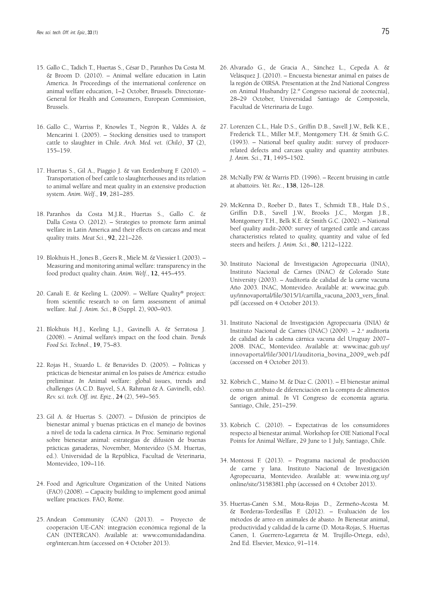- 15. Gallo C., Tadich T., Huertas S., César D., Paranhos Da Costa M. & Broom D. (2010). – Animal welfare education in Latin America. *In* Proceedings of the international conference on animal welfare education, 1–2 October, Brussels. Directorate-General for Health and Consumers, European Commission, Brussels.
- 16. Gallo C., Warriss P., Knowles T., Negrón R., Valdés A. & Mencarini I. (2005). – Stocking densities used to transport cattle to slaughter in Chile. *Arch. Med. vet. (Chile)*, **37** (2), 155–159.
- 17. Huertas S., Gil A., Piaggio J. & van Eerdenburg F. (2010). Transportation of beef cattle to slaughterhouses and its relation to animal welfare and meat quality in an extensive production system. *Anim. Welf*., **19**, 281–285.
- 18. Paranhos da Costa M.J.R., Huertas S., Gallo C. & Dalla Costa O. (2012). – Strategies to promote farm animal welfare in Latin America and their effects on carcass and meat quality traits. *Meat Sci*., **92**, 221–226.
- 19. Blokhuis H., Jones B., Geers R., Miele M. & Viessier I. (2003). Measuring and monitoring animal welfare: transparency in the food product quality chain. *Anim. Welf*., **12**, 445–455.
- 20. Canali E. & Keeling L. (2009). Welfare Quality® project: from scientific research to on farm assessment of animal welfare. *Ital. J. Anim. Sci*., **8** (Suppl. 2), 900–903.
- 21. Blokhuis H.J., Keeling L.J., Gavinelli A. & Serratosa J. (2008). – Animal welfare's impact on the food chain. *Trends Food Sci. Technol*., **19**, 75–83.
- 22. Rojas H., Stuardo L. & Benavides D. (2005). Políticas y prácticas de bienestar animal en los países de América: estudio preliminar. *In* Animal welfare: global issues, trends and challenges (A.C.D. Bayvel, S.A. Rahman & A. Gavinelli, eds). *Rev. sci. tech. Off. int. Epiz*., **24** (2), 549–565.
- 23. Gil A. & Huertas S. (2007). Difusión de principios de bienestar animal y buenas prácticas en el manejo de bovinos a nivel de toda la cadena cárnica. *In* Proc. Seminario regional sobre bienestar animal: estrategias de difusión de buenas prácticas ganaderas, November, Montevideo (S.M. Huertas, ed.). Universidad de la República, Facultad de Veterinaria, Montevideo, 109–116.
- 24. Food and Agriculture Organization of the United Nations (FAO) (2008). – Capacity building to implement good animal welfare practices. FAO, Rome.
- 25. Andean Community (CAN) (2013). Proyecto de cooperación UE-CAN: integración económica regional de la CAN (INTERCAN). Available at: www.comunidadandina. org/intercan.htm (accessed on 4 October 2013).
- 26. Alvarado G., de Gracia A., Sánchez L., Cepeda A. & Velásquez J. (2010). – Encuesta bienestar animal en países de la región de OIRSA. Presentation at the 2nd National Congress on Animal Husbandry [2.º Congreso nacional de zootecnia], 28–29 October, Universidad Santiago de Compostela, Facultad de Veterinaria de Lugo.
- 27. Lorenzen C.L., Hale D.S., Griffin D.B., Savell J.W., Belk K.E., Frederick T.L., Miller M.F., Montgomery T.H. & Smith G.C. (1993). – National beef quality audit: survey of producerrelated defects and carcass quality and quantity attributes. *J. Anim. Sci*., **71**, 1495–1502.
- 28. McNally P.W. & Warris P.D. (1996). Recent bruising in cattle at abattoirs. *Vet. Rec*., **138**, 126–128.
- 29. McKenna D., Roeber D., Bates T., Schmidt T.B., Hale D.S., Griffin D.B., Savell J.W., Brooks J.C., Morgan J.B., Montgomery T.H., Belk K.E. & Smith G.C. (2002). – National beef quality audit-2000: survey of targeted cattle and carcass characteristics related to quality, quantity and value of fed steers and heifers. *J. Anim. Sci*., **80**, 1212–1222.
- 30. Instituto Nacional de Investigación Agropecuaria (INIA), Instituto Nacional de Carnes (INAC) & Colorado State University (2003). – Auditoría de calidad de la carne vacuna Año 2003. INAC, Montevideo. Available at: www.inac.gub. uy/innovaportal/file/3015/1/cartilla\_vacuna\_2003\_vers\_final. pdf (accessed on 4 October 2013).
- 31. Instituto Nacional de Investigación Agropecuaria (INIA) & Instituto Nacional de Carnes (INAC) (2009). - 2.ª auditoría de calidad de la cadena cárnica vacuna del Uruguay 2007– 2008. INAC, Montevideo. Available at: www.inac.gub.uy/ innovaportal/file/3001/1/auditoria\_bovina\_2009\_web.pdf (accessed on 4 October 2013).
- 32. Köbrich C., Maino M. & Diaz C. (2001). El bienestar animal como un atributo de diferenciación en la compra de alimentos de origen animal. *In* VI Congreso de economía agraria. Santiago, Chile, 251–259.
- 33. Köbrich C. (2010). Expectativas de los consumidores respecto al bienestar animal. Workshop for OIE National Focal Points for Animal Welfare, 29 June to 1 July, Santiago, Chile.
- 34. Montossi F. (2013). Programa nacional de producción de carne y lana. Instituto Nacional de Investigación Agropecuaria, Montevideo. Available at: www.inia.org.uy/ online/site/315838I1.php (accessed on 4 October 2013).
- 35. Huertas-Canén S.M., Mota-Rojas D., Zermeño-Acosta M. & Borderas-Tordesillas F. (2012). – Evaluación de los métodos de arreo en animales de abasto. *In* Bienestar animal, productividad y calidad de la carne (D. Mota-Rojas, S. Huertas Canen, I. Guerrero-Legarreta & M. Trujillo-Ortega, eds), 2nd Ed. Elsevier, Mexico, 91–114.